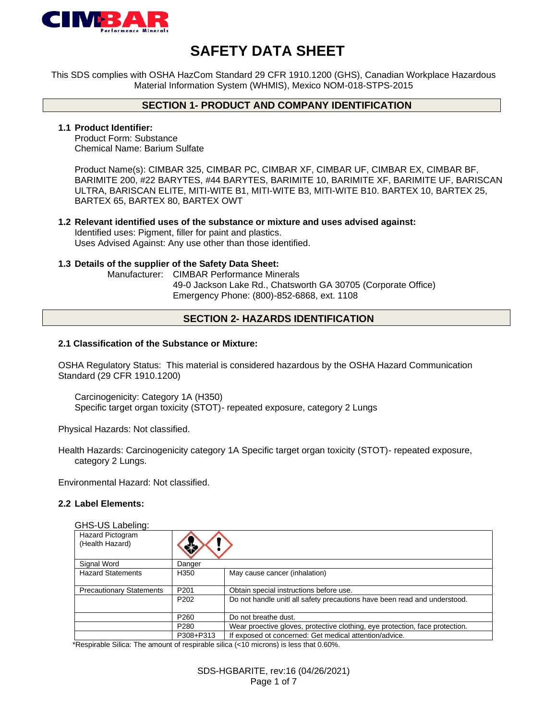

# **SAFETY DATA SHEET**

This SDS complies with OSHA HazCom Standard 29 CFR 1910.1200 (GHS), Canadian Workplace Hazardous Material Information System (WHMIS), Mexico NOM-018-STPS-2015

### **SECTION 1- PRODUCT AND COMPANY IDENTIFICATION**

#### **1.1 Product Identifier:**

Product Form: Substance Chemical Name: Barium Sulfate

Product Name(s): CIMBAR 325, CIMBAR PC, CIMBAR XF, CIMBAR UF, CIMBAR EX, CIMBAR BF, BARIMITE 200, #22 BARYTES, #44 BARYTES, BARIMITE 10, BARIMITE XF, BARIMITE UF, BARISCAN ULTRA, BARISCAN ELITE, MITI-WITE B1, MITI-WITE B3, MITI-WITE B10. BARTEX 10, BARTEX 25, BARTEX 65, BARTEX 80, BARTEX OWT

#### **1.2 Relevant identified uses of the substance or mixture and uses advised against:** Identified uses: Pigment, filler for paint and plastics. Uses Advised Against: Any use other than those identified.

#### **1.3 Details of the supplier of the Safety Data Sheet:**

Manufacturer: CIMBAR Performance Minerals 49-0 Jackson Lake Rd., Chatsworth GA 30705 (Corporate Office) Emergency Phone: (800)-852-6868, ext. 1108

### **SECTION 2- HAZARDS IDENTIFICATION**

#### **2.1 Classification of the Substance or Mixture:**

OSHA Regulatory Status: This material is considered hazardous by the OSHA Hazard Communication Standard (29 CFR 1910.1200)

Carcinogenicity: Category 1A (H350) Specific target organ toxicity (STOT)- repeated exposure, category 2 Lungs

Physical Hazards: Not classified.

Health Hazards: Carcinogenicity category 1A Specific target organ toxicity (STOT)- repeated exposure, category 2 Lungs.

Environmental Hazard: Not classified.

#### **2.2 Label Elements:**

| GHS-US Labeling:                    |                  |                                                                              |
|-------------------------------------|------------------|------------------------------------------------------------------------------|
| Hazard Pictogram<br>(Health Hazard) |                  |                                                                              |
| Signal Word                         | Danger           |                                                                              |
| <b>Hazard Statements</b>            | H350             | May cause cancer (inhalation)                                                |
| <b>Precautionary Statements</b>     | P <sub>201</sub> | Obtain special instructions before use.                                      |
|                                     | P <sub>202</sub> | Do not handle unitl all safety precautions have been read and understood.    |
|                                     | P <sub>260</sub> | Do not breathe dust.                                                         |
|                                     | P <sub>280</sub> | Wear proective gloves, protective clothing, eye protection, face protection. |
|                                     | P308+P313        | If exposed ot concerned: Get medical attention/advice.                       |

\*Respirable Silica: The amount of respirable silica (<10 microns) is less that 0.60%.

SDS-HGBARITE, rev:16 (04/26/2021) Page 1 of 7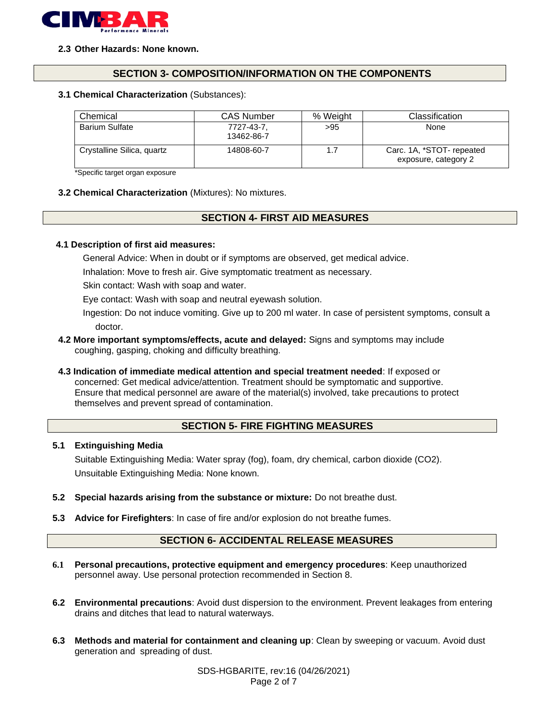

#### **2.3 Other Hazards: None known.**

### **SECTION 3- COMPOSITION/INFORMATION ON THE COMPONENTS**

#### **3.1 Chemical Characterization** (Substances):

| Chemical                   | <b>CAS Number</b>        | % Weight | Classification                                    |
|----------------------------|--------------------------|----------|---------------------------------------------------|
| <b>Barium Sulfate</b>      | 7727-43-7.<br>13462-86-7 | >95      | None                                              |
| Crystalline Silica, quartz | 14808-60-7               | 1.7      | Carc. 1A, *STOT- repeated<br>exposure, category 2 |

\*Specific target organ exposure

**3.2 Chemical Characterization** (Mixtures): No mixtures.

### **SECTION 4- FIRST AID MEASURES**

#### **4.1 Description of first aid measures:**

General Advice: When in doubt or if symptoms are observed, get medical advice.

Inhalation: Move to fresh air. Give symptomatic treatment as necessary.

Skin contact: Wash with soap and water.

Eye contact: Wash with soap and neutral eyewash solution.

Ingestion: Do not induce vomiting. Give up to 200 ml water. In case of persistent symptoms, consult a doctor.

- **4.2 More important symptoms/effects, acute and delayed:** Signs and symptoms may include coughing, gasping, choking and difficulty breathing.
- **4.3 Indication of immediate medical attention and special treatment needed**: If exposed or concerned: Get medical advice/attention. Treatment should be symptomatic and supportive. Ensure that medical personnel are aware of the material(s) involved, take precautions to protect themselves and prevent spread of contamination.

### **SECTION 5- FIRE FIGHTING MEASURES**

#### **5.1 Extinguishing Media**

Suitable Extinguishing Media: Water spray (fog), foam, dry chemical, carbon dioxide (CO2). Unsuitable Extinguishing Media: None known.

- **5.2 Special hazards arising from the substance or mixture:** Do not breathe dust.
- **5.3 Advice for Firefighters**: In case of fire and/or explosion do not breathe fumes.

### **SECTION 6- ACCIDENTAL RELEASE MEASURES**

- **6.1 Personal precautions, protective equipment and emergency procedures**: Keep unauthorized personnel away. Use personal protection recommended in Section 8.
- **6.2 Environmental precautions**: Avoid dust dispersion to the environment. Prevent leakages from entering drains and ditches that lead to natural waterways.
- **6.3 Methods and material for containment and cleaning up**: Clean by sweeping or vacuum. Avoid dust generation and spreading of dust.

SDS-HGBARITE, rev:16 (04/26/2021) Page 2 of 7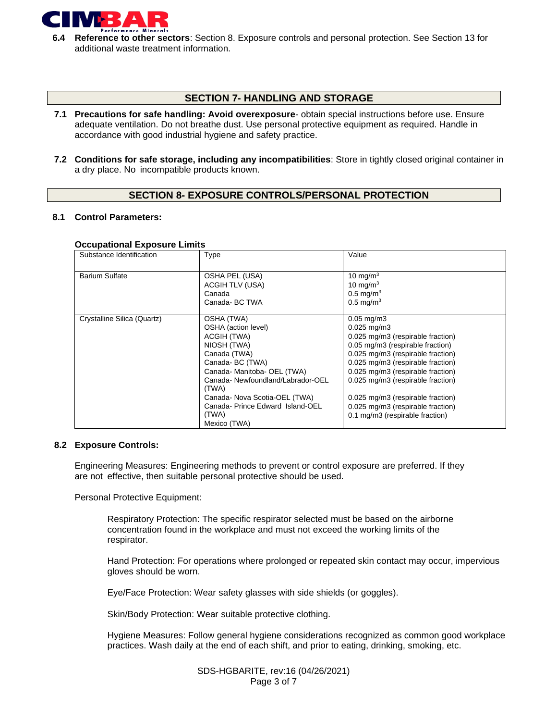

**6.4 Reference to other sectors**: Section 8. Exposure controls and personal protection. See Section 13 for additional waste treatment information.

### **SECTION 7- HANDLING AND STORAGE**

- **7.1 Precautions for safe handling: Avoid overexposure** obtain special instructions before use. Ensure adequate ventilation. Do not breathe dust. Use personal protective equipment as required. Handle in accordance with good industrial hygiene and safety practice.
- **7.2 Conditions for safe storage, including any incompatibilities**: Store in tightly closed original container in a dry place. No incompatible products known.

### **SECTION 8- EXPOSURE CONTROLS/PERSONAL PROTECTION**

#### **8.1 Control Parameters:**

#### **Occupational Exposure Limits**

| Substance Identification    | Type                                                                                                                                                                                                                                                                        | Value                                                                                                                                                                                                                                                                                                                                                                                |
|-----------------------------|-----------------------------------------------------------------------------------------------------------------------------------------------------------------------------------------------------------------------------------------------------------------------------|--------------------------------------------------------------------------------------------------------------------------------------------------------------------------------------------------------------------------------------------------------------------------------------------------------------------------------------------------------------------------------------|
| <b>Barium Sulfate</b>       | OSHA PEL (USA)<br>ACGIH TLV (USA)<br>Canada<br>Canada-BC TWA                                                                                                                                                                                                                | 10 mg/m $3$<br>10 mg/m $3$<br>$0.5 \text{ mg/m}^3$<br>$0.5 \text{ mg/m}^3$                                                                                                                                                                                                                                                                                                           |
| Crystalline Silica (Quartz) | OSHA (TWA)<br>OSHA (action level)<br>ACGIH (TWA)<br>NIOSH (TWA)<br>Canada (TWA)<br>Canada-BC (TWA)<br>Canada- Manitoba- OEL (TWA)<br>Canada-Newfoundland/Labrador-OEL<br>(TWA)<br>Canada- Nova Scotia-OEL (TWA)<br>Canada-Prince Edward Island-OEL<br>(TWA)<br>Mexico (TWA) | $0.05 \,\mathrm{mg/m}$<br>$0.025$ mg/m $3$<br>0.025 mg/m3 (respirable fraction)<br>0.05 mg/m3 (respirable fraction)<br>0.025 mg/m3 (respirable fraction)<br>0.025 mg/m3 (respirable fraction)<br>0.025 mg/m3 (respirable fraction)<br>0.025 mg/m3 (respirable fraction)<br>0.025 mg/m3 (respirable fraction)<br>0.025 mg/m3 (respirable fraction)<br>0.1 mg/m3 (respirable fraction) |

#### **8.2 Exposure Controls:**

Engineering Measures: Engineering methods to prevent or control exposure are preferred. If they are not effective, then suitable personal protective should be used.

Personal Protective Equipment:

Respiratory Protection: The specific respirator selected must be based on the airborne concentration found in the workplace and must not exceed the working limits of the respirator.

Hand Protection: For operations where prolonged or repeated skin contact may occur, impervious gloves should be worn.

Eye/Face Protection: Wear safety glasses with side shields (or goggles).

Skin/Body Protection: Wear suitable protective clothing.

Hygiene Measures: Follow general hygiene considerations recognized as common good workplace practices. Wash daily at the end of each shift, and prior to eating, drinking, smoking, etc.

> SDS-HGBARITE, rev:16 (04/26/2021) Page 3 of 7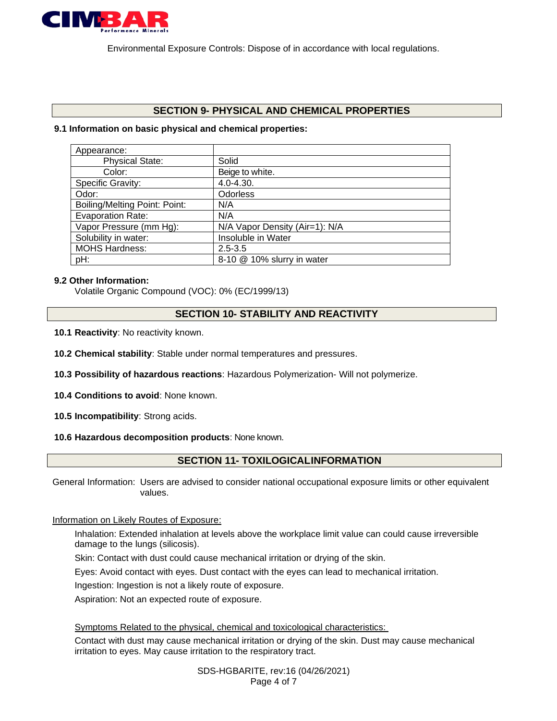

Environmental Exposure Controls: Dispose of in accordance with local regulations.

### **SECTION 9- PHYSICAL AND CHEMICAL PROPERTIES**

### **9.1 Information on basic physical and chemical properties:**

| Solid                          |
|--------------------------------|
| Beige to white.                |
| $4.0 - 4.30.$                  |
| <b>Odorless</b>                |
| N/A                            |
| N/A                            |
| N/A Vapor Density (Air=1): N/A |
| Insoluble in Water             |
| $2.5 - 3.5$                    |
| 8-10 @ 10% slurry in water     |
|                                |

### **9.2 Other Information:**

Volatile Organic Compound (VOC): 0% (EC/1999/13)

### **SECTION 10- STABILITY AND REACTIVITY**

- **10.1 Reactivity**: No reactivity known.
- **10.2 Chemical stability**: Stable under normal temperatures and pressures.
- **10.3 Possibility of hazardous reactions**: Hazardous Polymerization- Will not polymerize.
- **10.4 Conditions to avoid**: None known.
- **10.5 Incompatibility**: Strong acids.

#### **10.6 Hazardous decomposition products**: None known.

# **SECTION 11- TOXILOGICALINFORMATION**

General Information: Users are advised to consider national occupational exposure limits or other equivalent values.

### Information on Likely Routes of Exposure:

Inhalation: Extended inhalation at levels above the workplace limit value can could cause irreversible damage to the lungs (silicosis).

Skin: Contact with dust could cause mechanical irritation or drying of the skin.

Eyes: Avoid contact with eyes. Dust contact with the eyes can lead to mechanical irritation.

Ingestion: Ingestion is not a likely route of exposure.

Aspiration: Not an expected route of exposure.

Symptoms Related to the physical, chemical and toxicological characteristics:

Contact with dust may cause mechanical irritation or drying of the skin. Dust may cause mechanical irritation to eyes. May cause irritation to the respiratory tract.

> SDS-HGBARITE, rev:16 (04/26/2021) Page 4 of 7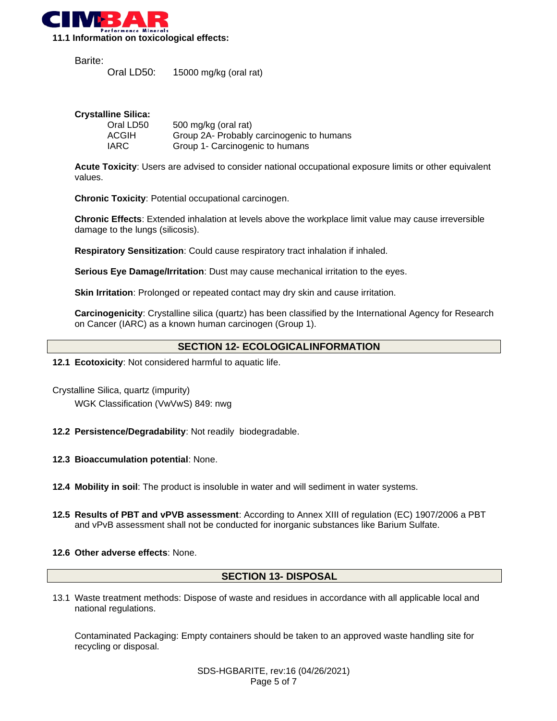

Barite:

| Oral LD50: | 15000 mg/kg (oral rat) |  |
|------------|------------------------|--|
|------------|------------------------|--|

### **Crystalline Silica:**

| Oral LD50 | 500 mg/kg (oral rat)                      |
|-----------|-------------------------------------------|
| ACGIH     | Group 2A- Probably carcinogenic to humans |
| IARC      | Group 1- Carcinogenic to humans           |

**Acute Toxicity**: Users are advised to consider national occupational exposure limits or other equivalent values.

**Chronic Toxicity**: Potential occupational carcinogen.

**Chronic Effects**: Extended inhalation at levels above the workplace limit value may cause irreversible damage to the lungs (silicosis).

**Respiratory Sensitization**: Could cause respiratory tract inhalation if inhaled.

**Serious Eye Damage/Irritation**: Dust may cause mechanical irritation to the eyes.

**Skin Irritation**: Prolonged or repeated contact may dry skin and cause irritation.

**Carcinogenicity**: Crystalline silica (quartz) has been classified by the International Agency for Research on Cancer (IARC) as a known human carcinogen (Group 1).

### **SECTION 12- ECOLOGICALINFORMATION**

- **12.1 Ecotoxicity**: Not considered harmful to aquatic life.
- Crystalline Silica, quartz (impurity) WGK Classification (VwVwS) 849: nwg
- **12.2 Persistence/Degradability**: Not readily biodegradable.
- **12.3 Bioaccumulation potential**: None.
- **12.4 Mobility in soil**: The product is insoluble in water and will sediment in water systems.
- **12.5 Results of PBT and vPVB assessment**: According to Annex XIII of regulation (EC) 1907/2006 a PBT and vPvB assessment shall not be conducted for inorganic substances like Barium Sulfate.
- **12.6 Other adverse effects**: None.

#### **SECTION 13- DISPOSAL**

13.1 Waste treatment methods: Dispose of waste and residues in accordance with all applicable local and national regulations.

Contaminated Packaging: Empty containers should be taken to an approved waste handling site for recycling or disposal.

> SDS-HGBARITE, rev:16 (04/26/2021) Page 5 of 7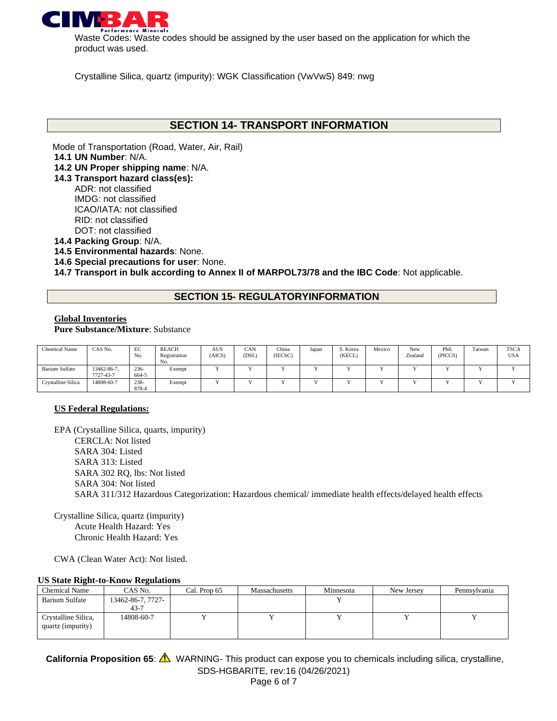

Waste Codes: Waste codes should be assigned by the user based on the application for which the product was used.

Crystalline Silica, quartz (impurity): WGK Classification (VwVwS) 849: nwg

# **SECTION 14- TRANSPORT INFORMATION**

Mode of Transportation (Road, Water, Air, Rail) **14.1 UN Number**: N/A.

- **14.2 UN Proper shipping name**: N/A.
- **14.3 Transport hazard class(es):**
	- ADR: not classified IMDG: not classified ICAO/IATA: not classified RID: not classified DOT: not classified
- **14.4 Packing Group**: N/A.
- **14.5 Environmental hazards**: None.
- **14.6 Special precautions for user**: None.

**14.7 Transport in bulk according to Annex II of MARPOL73/78 and the IBC Code**: Not applicable.

### **SECTION 15- REGULATORYINFORMATION**

### **Global Inventories**

**Pure Substance/Mixture**: Substance

| <b>Chemical Name</b>  | CAS No.                  | EC<br>No.        | <b>REACH</b><br>Registration<br>No. | <b>AUS</b><br>(AICS) | CAN<br>(DSL) | China<br>(IECSC) | Japan | S. Korea<br>(KECL) | Mexico | New<br>Zealand | Phil.<br>(PICCS) | Taiwan | <b>TSCA</b><br><b>USA</b> |
|-----------------------|--------------------------|------------------|-------------------------------------|----------------------|--------------|------------------|-------|--------------------|--------|----------------|------------------|--------|---------------------------|
| <b>Barium Sulfate</b> | 13462-86-7.<br>7727-43-7 | $236 -$<br>664-5 | Exempt                              |                      |              |                  |       |                    |        |                |                  |        |                           |
| Crystalline Silica    | 14808-60-7               | $238 -$<br>878-4 | Exempt                              |                      |              |                  |       |                    |        |                |                  |        |                           |

#### **US Federal Regulations:**

EPA (Crystalline Silica, quarts, impurity) CERCLA: Not listed SARA 304: Listed SARA 313: Listed SARA 302 RQ, lbs: Not listed SARA 304: Not listed SARA 311/312 Hazardous Categorization: Hazardous chemical/ immediate health effects/delayed health effects

Crystalline Silica, quartz (impurity) Acute Health Hazard: Yes Chronic Health Hazard: Yes

CWA (Clean Water Act): Not listed.

#### **US State Right-to-Know Regulations**

| <b>Chemical Name</b>                              | CAS No.           | Cal. Prop 65 | Massachusetts | Minnesota | New Jersey | Pennsylvania |
|---------------------------------------------------|-------------------|--------------|---------------|-----------|------------|--------------|
| <b>Barium Sulfate</b>                             | 13462-86-7, 7727- |              |               |           |            |              |
|                                                   | 43-7              |              |               |           |            |              |
| Crystalline Silica,<br>quartz ( <i>impurity</i> ) | 14808-60-7        |              |               |           |            |              |

SDS-HGBARITE, rev:16 (04/26/2021) Page 6 of 7 California Proposition 65:  $\triangle$  WARNING- This product can expose you to chemicals including silica, crystalline,